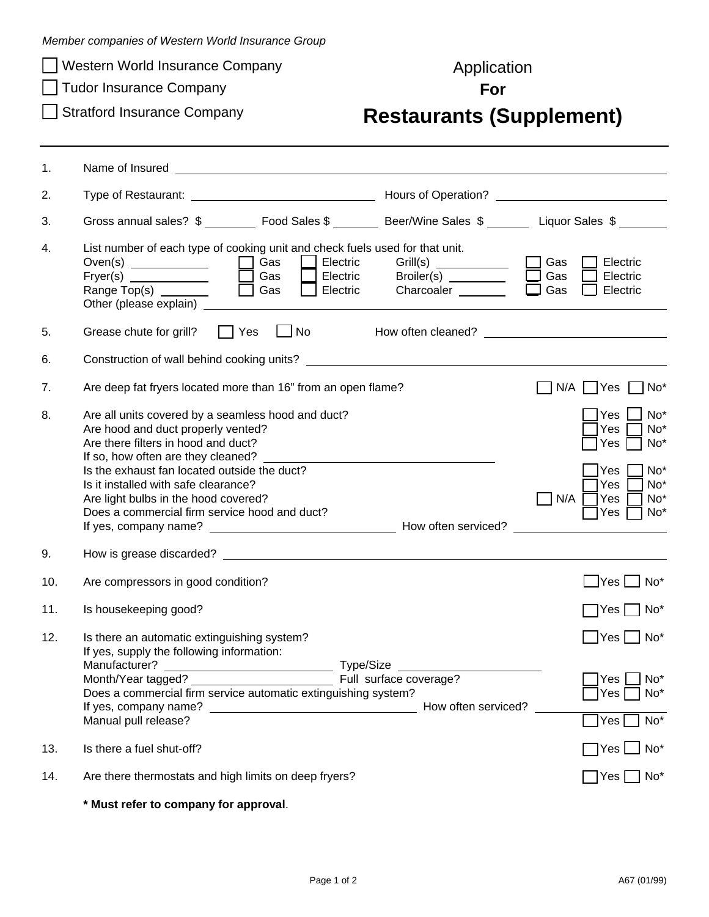| Member companies of Western World Insurance Group |  |  |  |  |  |
|---------------------------------------------------|--|--|--|--|--|
|---------------------------------------------------|--|--|--|--|--|

- □ Western World Insurance Company Metal and Application
- **Tudor Insurance Company For For**
- 

## Stratford Insurance Company **Restaurants (Supplement)**

| 1.  |                                                                                                                                                                                                                    |                                                                                                                                                                                                                                |                                                                                                             |  |
|-----|--------------------------------------------------------------------------------------------------------------------------------------------------------------------------------------------------------------------|--------------------------------------------------------------------------------------------------------------------------------------------------------------------------------------------------------------------------------|-------------------------------------------------------------------------------------------------------------|--|
| 2.  |                                                                                                                                                                                                                    |                                                                                                                                                                                                                                |                                                                                                             |  |
| 3.  | Gross annual sales? \$ __________ Food Sales \$ _________ Beer/Wine Sales \$ ________ Liquor Sales \$ _______                                                                                                      |                                                                                                                                                                                                                                |                                                                                                             |  |
| 4.  | List number of each type of cooking unit and check fuels used for that unit.<br>Gas<br>Electric<br>Electric<br>Gas<br>Range Top(s) <u>_________</u><br>$\mathbb{R}^n$<br>Gas<br>Electric<br>Other (please explain) | Broiler(s) ________<br>Charcoaler _______                                                                                                                                                                                      | Gas<br>Electric<br>Gas<br>Electric<br>Gas<br>Electric                                                       |  |
| 5.  | $\Box$ No<br>$\Box$ Yes<br>Grease chute for grill?                                                                                                                                                                 | How often cleaned? Now of the control of the control of the control of the control of the control of the control of the control of the control of the control of the control of the control of the control of the control of t |                                                                                                             |  |
| 6.  |                                                                                                                                                                                                                    |                                                                                                                                                                                                                                |                                                                                                             |  |
| 7.  | Are deep fat fryers located more than 16" from an open flame?                                                                                                                                                      |                                                                                                                                                                                                                                | No <sup>*</sup><br>N/A<br> Yes                                                                              |  |
| 8.  | Are all units covered by a seamless hood and duct?<br>Are hood and duct properly vented?<br>Are there filters in hood and duct?<br>If so, how often are they cleaned?                                              |                                                                                                                                                                                                                                | No <sup>*</sup><br>Yes<br>Yes<br>No <sup>*</sup><br>$No*$<br>Yes                                            |  |
|     | Is the exhaust fan located outside the duct?<br>Is it installed with safe clearance?<br>Are light bulbs in the hood covered?<br>Does a commercial firm service hood and duct?                                      |                                                                                                                                                                                                                                | No <sup>*</sup><br>Yes<br>No <sup>*</sup><br>Yes<br>N/A<br>No <sup>*</sup><br>Yes<br>No <sup>*</sup><br>Yes |  |
| 9.  | How is grease discarded? Now the state of the state of the state of the state of the state of the state of the                                                                                                     |                                                                                                                                                                                                                                |                                                                                                             |  |
| 10. | Are compressors in good condition?                                                                                                                                                                                 |                                                                                                                                                                                                                                | $\Box$ Yes $\Box$ No*                                                                                       |  |
| 11. | Is housekeeping good?                                                                                                                                                                                              |                                                                                                                                                                                                                                | $\Box$ Yes $\Box$ No*                                                                                       |  |
| 12. | Is there an automatic extinguishing system?<br>If yes, supply the following information:<br>Manufacturer?<br>———————————————————— Type/Size                                                                        |                                                                                                                                                                                                                                | $\blacksquare$ Yes $\blacksquare$ No*                                                                       |  |
|     | Month/Year tagged?<br>Full surface coverage?<br>Does a commercial firm service automatic extinguishing system?                                                                                                     | How often serviced?                                                                                                                                                                                                            | $\Box$ Yes $\Box$ No*<br>Yes $\Box$ No*                                                                     |  |
|     | Manual pull release?                                                                                                                                                                                               |                                                                                                                                                                                                                                | Yes<br>$\overline{\phantom{a}}$ No $^*$                                                                     |  |
| 13. | Is there a fuel shut-off?                                                                                                                                                                                          |                                                                                                                                                                                                                                |                                                                                                             |  |
| 14. | Are there thermostats and high limits on deep fryers?                                                                                                                                                              |                                                                                                                                                                                                                                | $\bigcap$ Yes $\bigcap$ No*                                                                                 |  |
|     |                                                                                                                                                                                                                    |                                                                                                                                                                                                                                |                                                                                                             |  |

**\* Must refer to company for approval**.